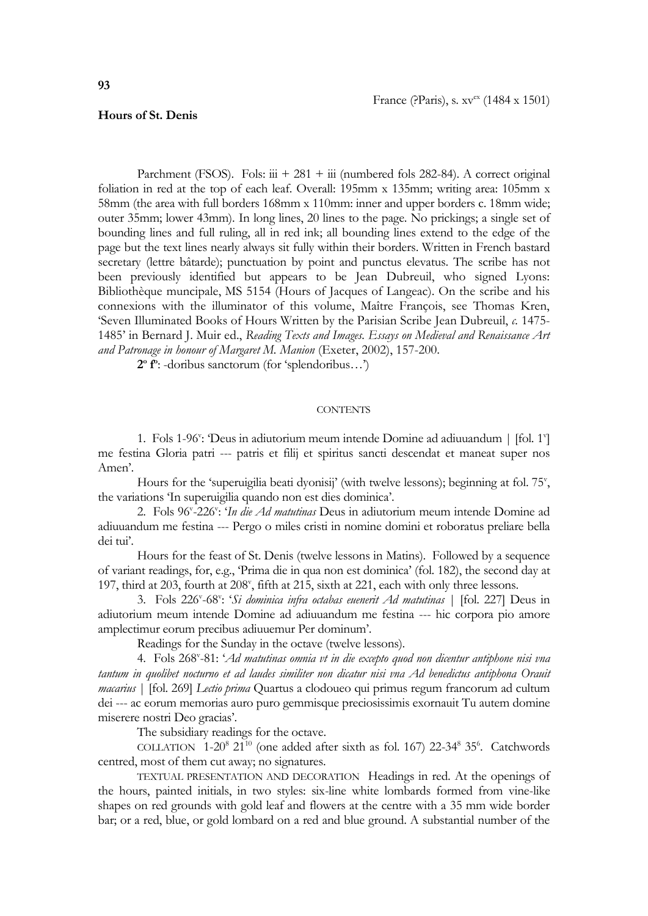## **Hours of St. Denis**

Parchment (FSOS). Fols:  $\dddot{u}$  + 281 +  $\dddot{u}$  (numbered fols 282-84). A correct original foliation in red at the top of each leaf. Overall: 195mm x 135mm; writing area: 105mm x 58mm (the area with full borders 168mm x 110mm: inner and upper borders c. 18mm wide; outer 35mm; lower 43mm). In long lines, 20 lines to the page. No prickings; a single set of bounding lines and full ruling, all in red ink; all bounding lines extend to the edge of the page but the text lines nearly always sit fully within their borders. Written in French bastard secretary (lettre bâtarde); punctuation by point and punctus elevatus. The scribe has not been previously identified but appears to be Jean Dubreuil, who signed Lyons: Bibliothèque muncipale, MS 5154 (Hours of Jacques of Langeac). On the scribe and his connexions with the illuminator of this volume, Maître François, see Thomas Kren, 'Seven Illuminated Books of Hours Written by the Parisian Scribe Jean Dubreuil, *c.* 1475- 1485' in Bernard J. Muir ed., *Reading Texts and Images. Essays on Medieval and Renaissance Art and Patronage in honour of Margaret M. Manion* (Exeter, 2002), 157-200.

**2 o f o** : -doribus sanctorum (for 'splendoribus…')

## **CONTENTS**

1. Fols 1-96": Deus in adiutorium meum intende Domine ad adiuuandum | [fol. 1"] me festina Gloria patri --- patris et filij et spiritus sancti descendat et maneat super nos Amen'.

Hours for the 'superuigilia beati dyonisij' (with twelve lessons); beginning at fol. 75', the variations 'In superuigilia quando non est dies dominica'.

2. Fols 96<sup>v</sup> -226<sup>v</sup> : '*In die Ad matutinas* Deus in adiutorium meum intende Domine ad adiuuandum me festina --- Pergo o miles cristi in nomine domini et roboratus preliare bella dei tui'.

Hours for the feast of St. Denis (twelve lessons in Matins). Followed by a sequence of variant readings, for, e.g., 'Prima die in qua non est dominica' (fol. 182), the second day at 197, third at 203, fourth at 208", fifth at 215, sixth at 221, each with only three lessons.

3. Fols 226<sup>v</sup> -68<sup>v</sup> : '*Si dominica infra octabas euenerit Ad matutinas* | [fol. 227] Deus in adiutorium meum intende Domine ad adiuuandum me festina --- hic corpora pio amore amplectimur eorum precibus adiuuemur Per dominum'.

Readings for the Sunday in the octave (twelve lessons).

4. Fols 268<sup>v</sup>-81: '*Ad matutinas omnia vt in die excepto quod non dicentur antiphone nisi vna tantum in quolibet nocturno et ad laudes similiter non dicatur nisi vna Ad benedictus antiphona Orauit macarius* | [fol. 269] *Lectio prima* Quartus a clodoueo qui primus regum francorum ad cultum dei --- ac eorum memorias auro puro gemmisque preciosissimis exornauit Tu autem domine miserere nostri Deo gracias'.

The subsidiary readings for the octave.

COLLATION  $1-20^8$   $21^{10}$  (one added after sixth as fol. 167) 22-34<sup>8</sup> 35<sup>6</sup>. Catchwords centred, most of them cut away; no signatures.

TEXTUAL PRESENTATION AND DECORATION Headings in red. At the openings of the hours, painted initials, in two styles: six-line white lombards formed from vine-like shapes on red grounds with gold leaf and flowers at the centre with a 35 mm wide border bar; or a red, blue, or gold lombard on a red and blue ground. A substantial number of the